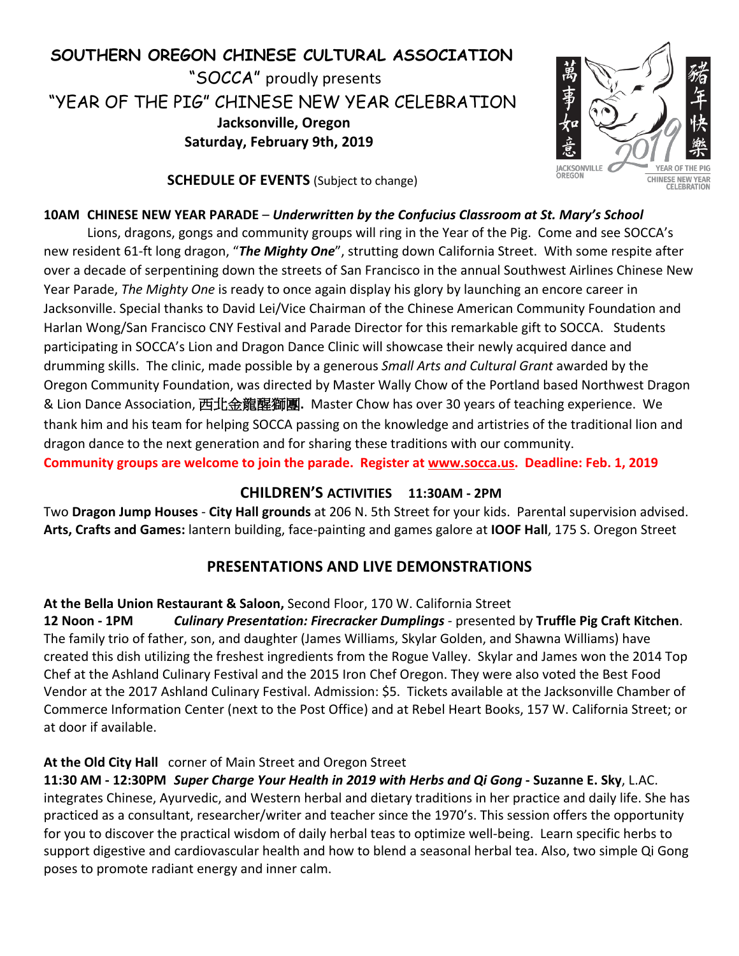# **SOUTHERN OREGON CHINESE CULTURAL ASSOCIATION**

"SOCCA" proudly presents "YEAR OF THE PIG" CHINESE NEW YEAR CELEBRATION **Jacksonville, Oregon Saturday, February 9th, 2019**



**SCHEDULE OF EVENTS** (Subject to change)

#### **10AM CHINESE NEW YEAR PARADE** – *Underwritten by the Confucius Classroom at St. Mary's School*

Lions, dragons, gongs and community groups will ring in the Year of the Pig. Come and see SOCCA's new resident 61-ft long dragon, "*The Mighty One*", strutting down California Street. With some respite after over a decade of serpentining down the streets of San Francisco in the annual Southwest Airlines Chinese New Year Parade, *The Mighty One* is ready to once again display his glory by launching an encore career in Jacksonville. Special thanks to David Lei/Vice Chairman of the Chinese American Community Foundation and Harlan Wong/San Francisco CNY Festival and Parade Director for this remarkable gift to SOCCA. Students participating in SOCCA's Lion and Dragon Dance Clinic will showcase their newly acquired dance and drumming skills. The clinic, made possible by a generous *Small Arts and Cultural Grant* awarded by the Oregon Community Foundation, was directed by Master Wally Chow of the Portland based Northwest Dragon & Lion Dance Association, 西北金龍醒獅團**.** Master Chow has over 30 years of teaching experience. We thank him and his team for helping SOCCA passing on the knowledge and artistries of the traditional lion and dragon dance to the next generation and for sharing these traditions with our community. **Community groups are welcome to join the parade. Register at www.socca.us. Deadline: Feb. 1, 2019**

## **CHILDREN'S ACTIVITIES 11:30AM - 2PM**

Two **Dragon Jump Houses** - **City Hall grounds** at 206 N. 5th Street for your kids. Parental supervision advised. **Arts, Crafts and Games:** lantern building, face-painting and games galore at **IOOF Hall**, 175 S. Oregon Street

# **PRESENTATIONS AND LIVE DEMONSTRATIONS**

#### **At the Bella Union Restaurant & Saloon,** Second Floor, 170 W. California Street

**12 Noon - 1PM** *Culinary Presentation: Firecracker Dumplings* - presented by **Truffle Pig Craft Kitchen**. The family trio of father, son, and daughter (James Williams, Skylar Golden, and Shawna Williams) have created this dish utilizing the freshest ingredients from the Rogue Valley. Skylar and James won the 2014 Top Chef at the Ashland Culinary Festival and the 2015 Iron Chef Oregon. They were also voted the Best Food Vendor at the 2017 Ashland Culinary Festival. Admission: \$5. Tickets available at the Jacksonville Chamber of Commerce Information Center (next to the Post Office) and at Rebel Heart Books, 157 W. California Street; or at door if available.

## **At the Old City Hall** corner of Main Street and Oregon Street

**11:30 AM - 12:30PM** *Super Charge Your Health in 2019 with Herbs and Qi Gong* **- Suzanne E. Sky**, L.AC. integrates Chinese, Ayurvedic, and Western herbal and dietary traditions in her practice and daily life. She has practiced as a consultant, researcher/writer and teacher since the 1970's. This session offers the opportunity for you to discover the practical wisdom of daily herbal teas to optimize well-being. Learn specific herbs to support digestive and cardiovascular health and how to blend a seasonal herbal tea. Also, two simple Qi Gong poses to promote radiant energy and inner calm.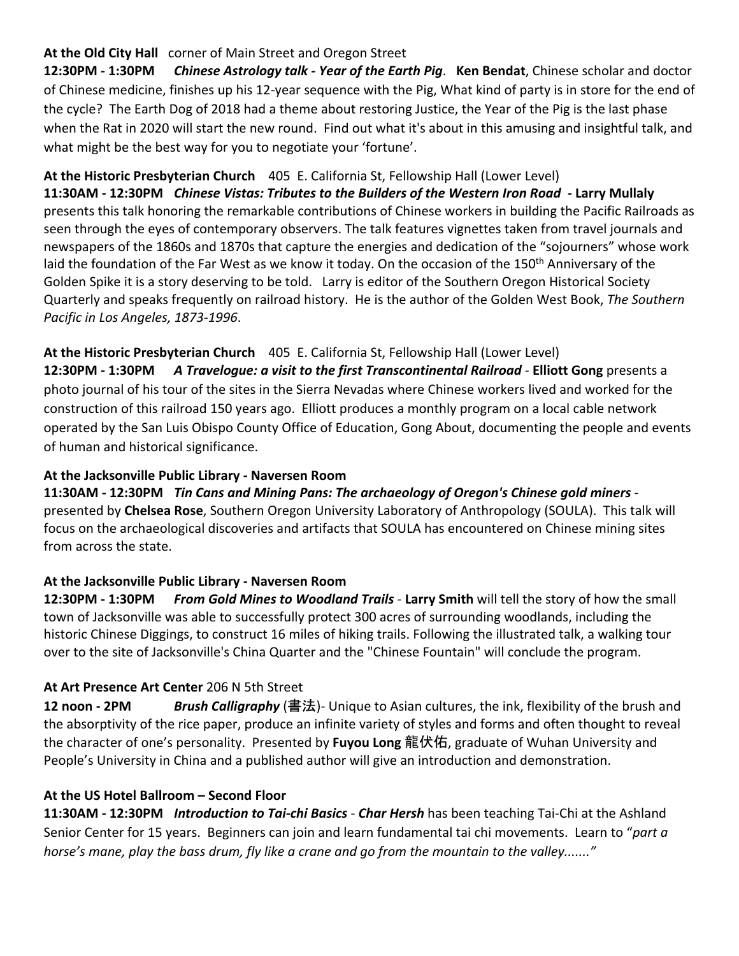## **At the Old City Hall** corner of Main Street and Oregon Street

**12:30PM - 1:30PM** *Chinese Astrology talk - Year of the Earth Pig*. **Ken Bendat**, Chinese scholar and doctor of Chinese medicine, finishes up his 12-year sequence with the Pig, What kind of party is in store for the end of the cycle? The Earth Dog of 2018 had a theme about restoring Justice, the Year of the Pig is the last phase when the Rat in 2020 will start the new round. Find out what it's about in this amusing and insightful talk, and what might be the best way for you to negotiate your 'fortune'.

## **At the Historic Presbyterian Church** 405 E. California St, Fellowship Hall (Lower Level)

**11:30AM - 12:30PM** *Chinese Vistas: Tributes to the Builders of the Western Iron Road* **- Larry Mullaly** presents this talk honoring the remarkable contributions of Chinese workers in building the Pacific Railroads as seen through the eyes of contemporary observers. The talk features vignettes taken from travel journals and newspapers of the 1860s and 1870s that capture the energies and dedication of the "sojourners" whose work laid the foundation of the Far West as we know it today. On the occasion of the 150<sup>th</sup> Anniversary of the Golden Spike it is a story deserving to be told. Larry is editor of the Southern Oregon Historical Society Quarterly and speaks frequently on railroad history. He is the author of the Golden West Book, *The Southern Pacific in Los Angeles, 1873-1996*.

**At the Historic Presbyterian Church** 405 E. California St, Fellowship Hall (Lower Level) **12:30PM - 1:30PM** *A Travelogue: a visit to the first Transcontinental Railroad* - **Elliott Gong** presents a photo journal of his tour of the sites in the Sierra Nevadas where Chinese workers lived and worked for the construction of this railroad 150 years ago. Elliott produces a monthly program on a local cable network operated by the San Luis Obispo County Office of Education, Gong About, documenting the people and events of human and historical significance.

# **At the Jacksonville Public Library - Naversen Room**

**11:30AM - 12:30PM** *Tin Cans and Mining Pans: The archaeology of Oregon's Chinese gold miners* presented by **Chelsea Rose**, Southern Oregon University Laboratory of Anthropology (SOULA). This talk will focus on the archaeological discoveries and artifacts that SOULA has encountered on Chinese mining sites from across the state.

#### **At the Jacksonville Public Library - Naversen Room**

**12:30PM - 1:30PM** *From Gold Mines to Woodland Trails* - **Larry Smith** will tell the story of how the small town of Jacksonville was able to successfully protect 300 acres of surrounding woodlands, including the historic Chinese Diggings, to construct 16 miles of hiking trails. Following the illustrated talk, a walking tour over to the site of Jacksonville's China Quarter and the "Chinese Fountain" will conclude the program.

## **At Art Presence Art Center** 206 N 5th Street

**12 noon - 2PM** *Brush Calligraphy* (書法)- Unique to Asian cultures, the ink, flexibility of the brush and the absorptivity of the rice paper, produce an infinite variety of styles and forms and often thought to reveal the character of one's personality. Presented by **Fuyou Long** 龍伏佑, graduate of Wuhan University and People's University in China and a published author will give an introduction and demonstration.

## **At the US Hotel Ballroom – Second Floor**

**11:30AM - 12:30PM** *Introduction to Tai-chi Basics* - *Char Hersh* has been teaching Tai-Chi at the Ashland Senior Center for 15 years. Beginners can join and learn fundamental tai chi movements. Learn to "*part a horse's mane, play the bass drum, fly like a crane and go from the mountain to the valley......."*